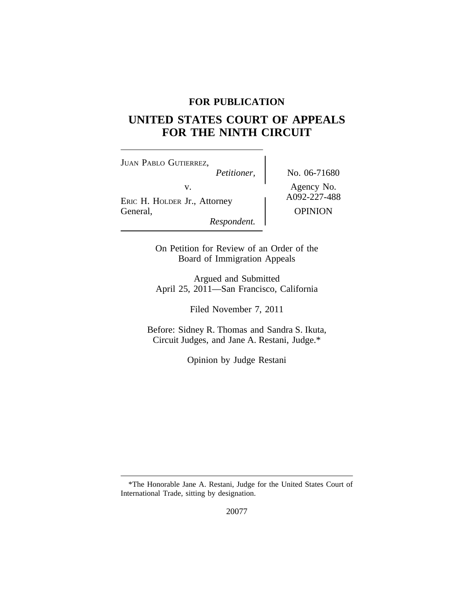# **FOR PUBLICATION**

# **UNITED STATES COURT OF APPEALS FOR THE NINTH CIRCUIT**

| <b>JUAN PABLO GUTIERREZ,</b>                                  |                                              |
|---------------------------------------------------------------|----------------------------------------------|
| Petitioner,                                                   | No. 06-71680                                 |
| V.<br>ERIC H. HOLDER Jr., Attorney<br>General,<br>Respondent. | Agency No.<br>A092-227-488<br><b>OPINION</b> |

On Petition for Review of an Order of the Board of Immigration Appeals

Argued and Submitted April 25, 2011—San Francisco, California

Filed November 7, 2011

Before: Sidney R. Thomas and Sandra S. Ikuta, Circuit Judges, and Jane A. Restani, Judge.\*

Opinion by Judge Restani

20077

<sup>\*</sup>The Honorable Jane A. Restani, Judge for the United States Court of International Trade, sitting by designation.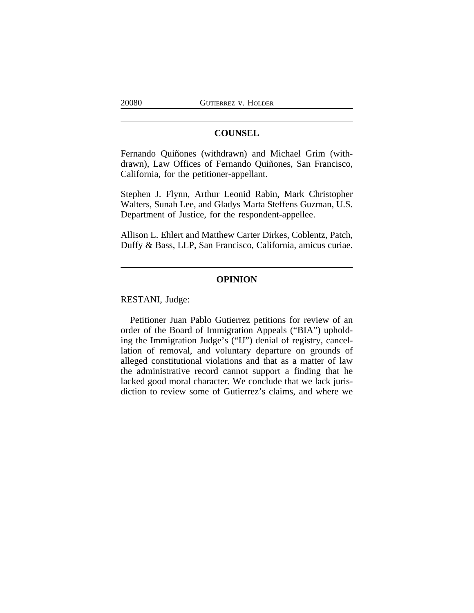## **COUNSEL**

Fernando Quiñones (withdrawn) and Michael Grim (withdrawn), Law Offices of Fernando Quiñones, San Francisco, California, for the petitioner-appellant.

Stephen J. Flynn, Arthur Leonid Rabin, Mark Christopher Walters, Sunah Lee, and Gladys Marta Steffens Guzman, U.S. Department of Justice, for the respondent-appellee.

Allison L. Ehlert and Matthew Carter Dirkes, Coblentz, Patch, Duffy & Bass, LLP, San Francisco, California, amicus curiae.

## **OPINION**

RESTANI, Judge:

Petitioner Juan Pablo Gutierrez petitions for review of an order of the Board of Immigration Appeals ("BIA") upholding the Immigration Judge's ("IJ") denial of registry, cancellation of removal, and voluntary departure on grounds of alleged constitutional violations and that as a matter of law the administrative record cannot support a finding that he lacked good moral character. We conclude that we lack jurisdiction to review some of Gutierrez's claims, and where we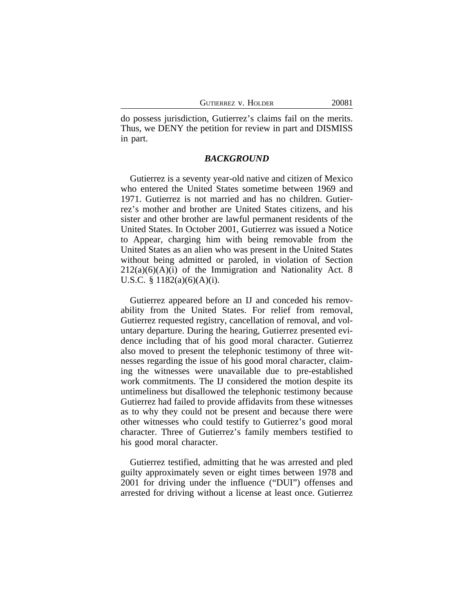do possess jurisdiction, Gutierrez's claims fail on the merits. Thus, we DENY the petition for review in part and DISMISS in part.

#### *BACKGROUND*

Gutierrez is a seventy year-old native and citizen of Mexico who entered the United States sometime between 1969 and 1971. Gutierrez is not married and has no children. Gutierrez's mother and brother are United States citizens, and his sister and other brother are lawful permanent residents of the United States. In October 2001, Gutierrez was issued a Notice to Appear, charging him with being removable from the United States as an alien who was present in the United States without being admitted or paroled, in violation of Section  $212(a)(6)(A)(i)$  of the Immigration and Nationality Act. 8 U.S.C. § 1182(a)(6)(A)(i).

Gutierrez appeared before an IJ and conceded his removability from the United States. For relief from removal, Gutierrez requested registry, cancellation of removal, and voluntary departure. During the hearing, Gutierrez presented evidence including that of his good moral character. Gutierrez also moved to present the telephonic testimony of three witnesses regarding the issue of his good moral character, claiming the witnesses were unavailable due to pre-established work commitments. The IJ considered the motion despite its untimeliness but disallowed the telephonic testimony because Gutierrez had failed to provide affidavits from these witnesses as to why they could not be present and because there were other witnesses who could testify to Gutierrez's good moral character. Three of Gutierrez's family members testified to his good moral character.

Gutierrez testified, admitting that he was arrested and pled guilty approximately seven or eight times between 1978 and 2001 for driving under the influence ("DUI") offenses and arrested for driving without a license at least once. Gutierrez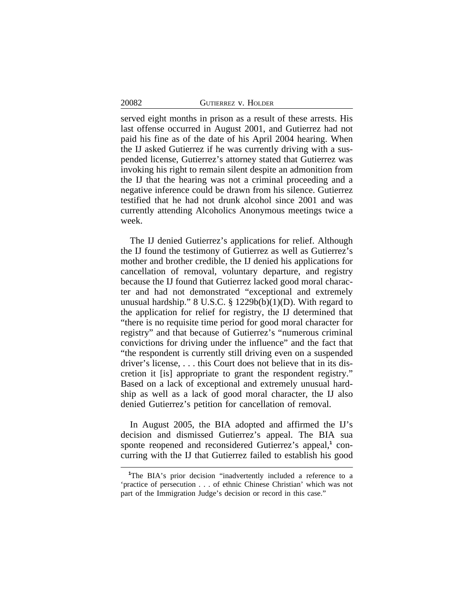| GUTIERREZ V. HOLDER |  |  |
|---------------------|--|--|
|---------------------|--|--|

served eight months in prison as a result of these arrests. His last offense occurred in August 2001, and Gutierrez had not paid his fine as of the date of his April 2004 hearing. When the IJ asked Gutierrez if he was currently driving with a suspended license, Gutierrez's attorney stated that Gutierrez was invoking his right to remain silent despite an admonition from the IJ that the hearing was not a criminal proceeding and a negative inference could be drawn from his silence. Gutierrez testified that he had not drunk alcohol since 2001 and was currently attending Alcoholics Anonymous meetings twice a week.

The IJ denied Gutierrez's applications for relief. Although the IJ found the testimony of Gutierrez as well as Gutierrez's mother and brother credible, the IJ denied his applications for cancellation of removal, voluntary departure, and registry because the IJ found that Gutierrez lacked good moral character and had not demonstrated "exceptional and extremely unusual hardship." 8 U.S.C. § 1229b(b)(1)(D). With regard to the application for relief for registry, the IJ determined that "there is no requisite time period for good moral character for registry" and that because of Gutierrez's "numerous criminal convictions for driving under the influence" and the fact that "the respondent is currently still driving even on a suspended driver's license, . . . this Court does not believe that in its discretion it [is] appropriate to grant the respondent registry." Based on a lack of exceptional and extremely unusual hardship as well as a lack of good moral character, the IJ also denied Gutierrez's petition for cancellation of removal.

In August 2005, the BIA adopted and affirmed the IJ's decision and dismissed Gutierrez's appeal. The BIA sua sponte reopened and reconsidered Gutierrez's appeal,<sup>1</sup> concurring with the IJ that Gutierrez failed to establish his good

20082

<sup>&</sup>lt;sup>1</sup>The BIA's prior decision "inadvertently included a reference to a 'practice of persecution . . . of ethnic Chinese Christian' which was not part of the Immigration Judge's decision or record in this case."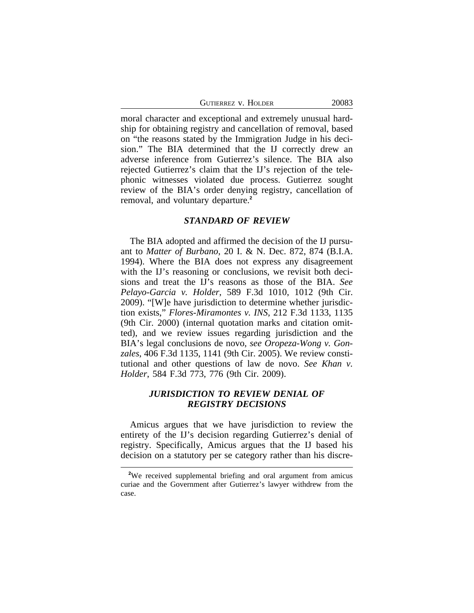GUTIERREZ V. HOLDER 20083

moral character and exceptional and extremely unusual hardship for obtaining registry and cancellation of removal, based on "the reasons stated by the Immigration Judge in his decision." The BIA determined that the IJ correctly drew an adverse inference from Gutierrez's silence. The BIA also rejected Gutierrez's claim that the IJ's rejection of the telephonic witnesses violated due process. Gutierrez sought review of the BIA's order denying registry, cancellation of removal, and voluntary departure.**<sup>2</sup>**

#### *STANDARD OF REVIEW*

The BIA adopted and affirmed the decision of the IJ pursuant to *Matter of Burbano*, 20 I. & N. Dec. 872, 874 (B.I.A. 1994). Where the BIA does not express any disagreement with the IJ's reasoning or conclusions, we revisit both decisions and treat the IJ's reasons as those of the BIA. *See Pelayo-Garcia v. Holder*, 589 F.3d 1010, 1012 (9th Cir. 2009). "[W]e have jurisdiction to determine whether jurisdiction exists," *Flores-Miramontes v. INS*, 212 F.3d 1133, 1135 (9th Cir. 2000) (internal quotation marks and citation omitted), and we review issues regarding jurisdiction and the BIA's legal conclusions de novo, *see Oropeza-Wong v. Gonzales*, 406 F.3d 1135, 1141 (9th Cir. 2005). We review constitutional and other questions of law de novo. *See Khan v. Holder*, 584 F.3d 773, 776 (9th Cir. 2009).

# *JURISDICTION TO REVIEW DENIAL OF REGISTRY DECISIONS*

Amicus argues that we have jurisdiction to review the entirety of the IJ's decision regarding Gutierrez's denial of registry. Specifically, Amicus argues that the IJ based his decision on a statutory per se category rather than his discre-

**<sup>2</sup>**We received supplemental briefing and oral argument from amicus curiae and the Government after Gutierrez's lawyer withdrew from the case.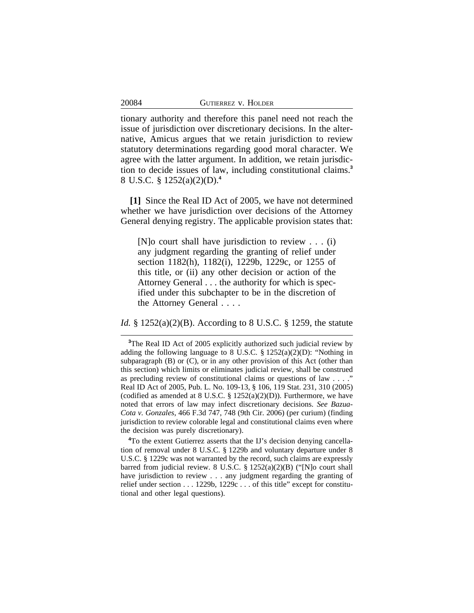tionary authority and therefore this panel need not reach the issue of jurisdiction over discretionary decisions. In the alternative, Amicus argues that we retain jurisdiction to review statutory determinations regarding good moral character. We agree with the latter argument. In addition, we retain jurisdiction to decide issues of law, including constitutional claims.**<sup>3</sup>** 8 U.S.C. § 1252(a)(2)(D).**<sup>4</sup>**

**[1]** Since the Real ID Act of 2005, we have not determined whether we have jurisdiction over decisions of the Attorney General denying registry. The applicable provision states that:

[N]o court shall have jurisdiction to review . . . (i) any judgment regarding the granting of relief under section 1182(h), 1182(i), 1229b, 1229c, or 1255 of this title, or (ii) any other decision or action of the Attorney General . . . the authority for which is specified under this subchapter to be in the discretion of the Attorney General . . . .

*Id.* § 1252(a)(2)(B). According to 8 U.S.C. § 1259, the statute

**<sup>4</sup>**To the extent Gutierrez asserts that the IJ's decision denying cancellation of removal under 8 U.S.C. § 1229b and voluntary departure under 8 U.S.C. § 1229c was not warranted by the record, such claims are expressly barred from judicial review. 8 U.S.C. § 1252(a)(2)(B) ("[N]o court shall have jurisdiction to review . . . any judgment regarding the granting of relief under section . . . 1229b, 1229c . . . of this title" except for constitutional and other legal questions).

**<sup>3</sup>**The Real ID Act of 2005 explicitly authorized such judicial review by adding the following language to 8 U.S.C. § 1252(a)(2)(D): "Nothing in subparagraph (B) or (C), or in any other provision of this Act (other than this section) which limits or eliminates judicial review, shall be construed as precluding review of constitutional claims or questions of law . . . ." Real ID Act of 2005, Pub. L. No. 109-13, § 106, 119 Stat. 231, 310 (2005) (codified as amended at 8 U.S.C.  $\S 1252(a)(2)(D)$ ). Furthermore, we have noted that errors of law may infect discretionary decisions. *See Bazua-Cota v. Gonzales*, 466 F.3d 747, 748 (9th Cir. 2006) (per curium) (finding jurisdiction to review colorable legal and constitutional claims even where the decision was purely discretionary).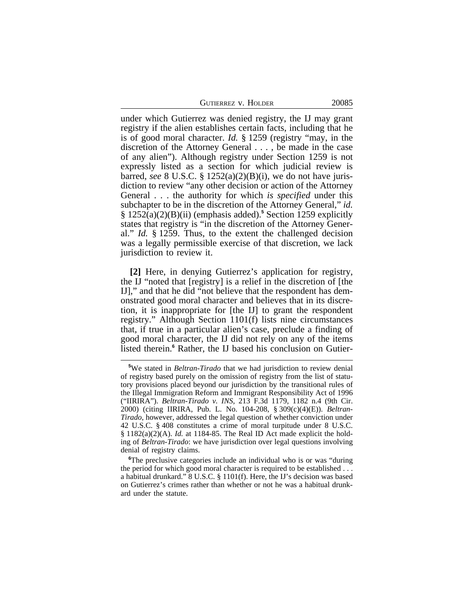| <b>GUTIERREZ V. HOLDER</b> |  |  |
|----------------------------|--|--|
|                            |  |  |

under which Gutierrez was denied registry, the IJ may grant registry if the alien establishes certain facts, including that he is of good moral character. *Id.* § 1259 (registry "may, in the discretion of the Attorney General . . . , be made in the case of any alien"). Although registry under Section 1259 is not expressly listed as a section for which judicial review is barred, *see* 8 U.S.C. § 1252(a)(2)(B)(i), we do not have jurisdiction to review "any other decision or action of the Attorney General . . . the authority for which *is specified* under this subchapter to be in the discretion of the Attorney General," *id.* § 1252(a)(2)(B)(ii) (emphasis added).**<sup>5</sup>** Section 1259 explicitly states that registry is "in the discretion of the Attorney General." *Id.* § 1259. Thus, to the extent the challenged decision was a legally permissible exercise of that discretion, we lack jurisdiction to review it.

**[2]** Here, in denying Gutierrez's application for registry, the IJ "noted that [registry] is a relief in the discretion of [the IJ]," and that he did "not believe that the respondent has demonstrated good moral character and believes that in its discretion, it is inappropriate for [the IJ] to grant the respondent registry." Although Section 1101(f) lists nine circumstances that, if true in a particular alien's case, preclude a finding of good moral character, the IJ did not rely on any of the items listed therein.**<sup>6</sup>** Rather, the IJ based his conclusion on Gutier-

**<sup>6</sup>**The preclusive categories include an individual who is or was "during the period for which good moral character is required to be established . . . a habitual drunkard." 8 U.S.C. § 1101(f). Here, the IJ's decision was based on Gutierrez's crimes rather than whether or not he was a habitual drunkard under the statute.

**<sup>5</sup>**We stated in *Beltran-Tirado* that we had jurisdiction to review denial of registry based purely on the omission of registry from the list of statutory provisions placed beyond our jurisdiction by the transitional rules of the Illegal Immigration Reform and Immigrant Responsibility Act of 1996 ("IIRIRA"). *Beltran-Tirado v. INS*, 213 F.3d 1179, 1182 n.4 (9th Cir. 2000) (citing IIRIRA, Pub. L. No. 104-208, § 309(c)(4)(E)). *Beltran-Tirado*, however, addressed the legal question of whether conviction under 42 U.S.C. § 408 constitutes a crime of moral turpitude under 8 U.S.C. § 1182(a)(2)(A). *Id.* at 1184-85. The Real ID Act made explicit the holding of *Beltran-Tirado*: we have jurisdiction over legal questions involving denial of registry claims.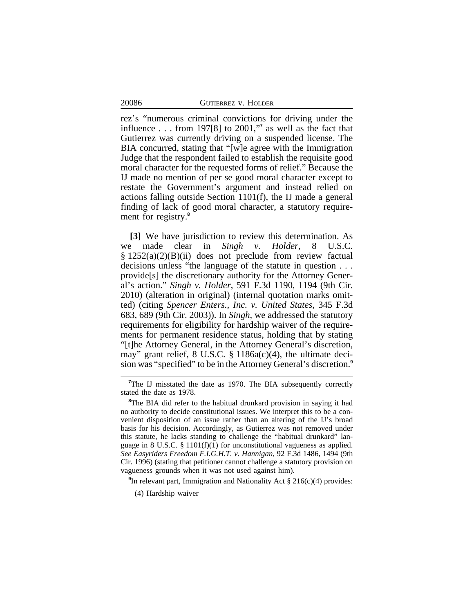20086 GUTIERREZ v. HOLDER

rez's "numerous criminal convictions for driving under the influence . . . from 197[8] to 2001," **7** as well as the fact that Gutierrez was currently driving on a suspended license. The BIA concurred, stating that "[w]e agree with the Immigration Judge that the respondent failed to establish the requisite good moral character for the requested forms of relief." Because the IJ made no mention of per se good moral character except to restate the Government's argument and instead relied on actions falling outside Section 1101(f), the IJ made a general finding of lack of good moral character, a statutory requirement for registry.**<sup>8</sup>**

**[3]** We have jurisdiction to review this determination. As we made clear in *Singh v. Holder*, 8 U.S.C. § 1252(a)(2)(B)(ii) does not preclude from review factual decisions unless "the language of the statute in question . . . provide[s] the discretionary authority for the Attorney General's action." *Singh v. Holder*, 591 F.3d 1190, 1194 (9th Cir. 2010) (alteration in original) (internal quotation marks omitted) (citing *Spencer Enters., Inc. v. United States*, 345 F.3d 683, 689 (9th Cir. 2003)). In *Singh*, we addressed the statutory requirements for eligibility for hardship waiver of the requirements for permanent residence status, holding that by stating "[t]he Attorney General, in the Attorney General's discretion, may" grant relief, 8 U.S.C. § 1186a(c)(4), the ultimate decision was "specified" to be in the Attorney General's discretion.**<sup>9</sup>**

**9** In relevant part, Immigration and Nationality Act § 216(c)(4) provides:

<sup>&</sup>lt;sup>7</sup>The IJ misstated the date as 1970. The BIA subsequently correctly stated the date as 1978.

<sup>&</sup>lt;sup>8</sup>The BIA did refer to the habitual drunkard provision in saying it had no authority to decide constitutional issues. We interpret this to be a convenient disposition of an issue rather than an altering of the IJ's broad basis for his decision. Accordingly, as Gutierrez was not removed under this statute, he lacks standing to challenge the "habitual drunkard" language in 8 U.S.C. § 1101(f)(1) for unconstitutional vagueness as applied. *See Easyriders Freedom F.I.G.H.T. v. Hannigan*, 92 F.3d 1486, 1494 (9th Cir. 1996) (stating that petitioner cannot challenge a statutory provision on vagueness grounds when it was not used against him).

<sup>(4)</sup> Hardship waiver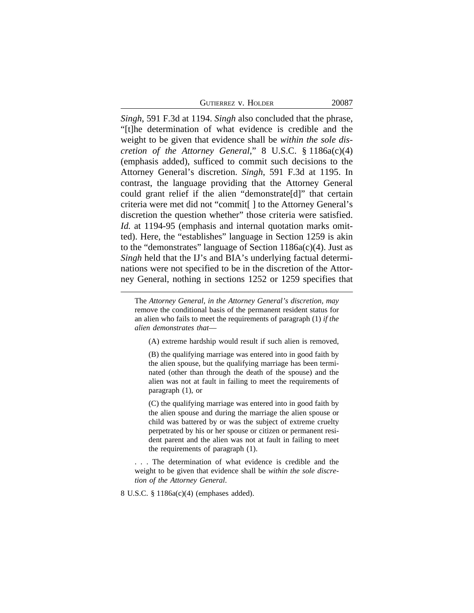| Gutierrez v. Holder |  |  |  |
|---------------------|--|--|--|
|---------------------|--|--|--|

*Singh*, 591 F.3d at 1194. *Singh* also concluded that the phrase, "[t]he determination of what evidence is credible and the weight to be given that evidence shall be *within the sole discretion of the Attorney General*," 8 U.S.C. § 1186a(c)(4) (emphasis added), sufficed to commit such decisions to the Attorney General's discretion. *Singh*, 591 F.3d at 1195. In contrast, the language providing that the Attorney General could grant relief if the alien "demonstrate[d]" that certain criteria were met did not "commit[ ] to the Attorney General's discretion the question whether" those criteria were satisfied. *Id.* at 1194-95 (emphasis and internal quotation marks omitted). Here, the "establishes" language in Section 1259 is akin to the "demonstrates" language of Section 1186a(c)(4). Just as *Singh* held that the IJ's and BIA's underlying factual determinations were not specified to be in the discretion of the Attorney General, nothing in sections 1252 or 1259 specifies that

(A) extreme hardship would result if such alien is removed,

(B) the qualifying marriage was entered into in good faith by the alien spouse, but the qualifying marriage has been terminated (other than through the death of the spouse) and the alien was not at fault in failing to meet the requirements of paragraph (1), or

(C) the qualifying marriage was entered into in good faith by the alien spouse and during the marriage the alien spouse or child was battered by or was the subject of extreme cruelty perpetrated by his or her spouse or citizen or permanent resident parent and the alien was not at fault in failing to meet the requirements of paragraph (1).

. . . The determination of what evidence is credible and the weight to be given that evidence shall be *within the sole discretion of the Attorney General*.

8 U.S.C. § 1186a(c)(4) (emphases added).

The *Attorney General, in the Attorney General's discretion, may* remove the conditional basis of the permanent resident status for an alien who fails to meet the requirements of paragraph (1) *if the alien demonstrates that*—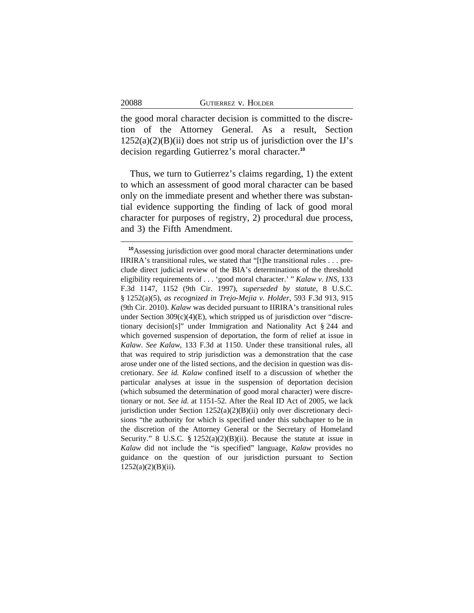| GUTIERREZ V. HOLDER |  |  |  |
|---------------------|--|--|--|
|---------------------|--|--|--|

20088

the good moral character decision is committed to the discretion of the Attorney General. As a result, Section  $1252(a)(2)(B)(ii)$  does not strip us of jurisdiction over the IJ's decision regarding Gutierrez's moral character.**<sup>10</sup>**

Thus, we turn to Gutierrez's claims regarding, 1) the extent to which an assessment of good moral character can be based only on the immediate present and whether there was substantial evidence supporting the finding of lack of good moral character for purposes of registry, 2) procedural due process, and 3) the Fifth Amendment.

**<sup>10</sup>**Assessing jurisdiction over good moral character determinations under IIRIRA's transitional rules, we stated that "[t]he transitional rules . . . preclude direct judicial review of the BIA's determinations of the threshold eligibility requirements of . . . 'good moral character.' " *Kalaw v. INS*, 133 F.3d 1147, 1152 (9th Cir. 1997), *superseded by statute*, 8 U.S.C. § 1252(a)(5), *as recognized in Trejo-Mejia v. Holder*, 593 F.3d 913, 915 (9th Cir. 2010). *Kalaw* was decided pursuant to IIRIRA's transitional rules under Section  $309(c)(4)(E)$ , which stripped us of jurisdiction over "discretionary decision[s]" under Immigration and Nationality Act § 244 and which governed suspension of deportation, the form of relief at issue in *Kalaw*. *See Kalaw*, 133 F.3d at 1150. Under these transitional rules, all that was required to strip jurisdiction was a demonstration that the case arose under one of the listed sections, and the decision in question was discretionary. *See id. Kalaw* confined itself to a discussion of whether the particular analyses at issue in the suspension of deportation decision (which subsumed the determination of good moral character) were discretionary or not. *See id.* at 1151-52. After the Real ID Act of 2005, we lack jurisdiction under Section  $1252(a)(2)(B)(ii)$  only over discretionary decisions "the authority for which is specified under this subchapter to be in the discretion of the Attorney General or the Secretary of Homeland Security." 8 U.S.C.  $\S 1252(a)(2)(B)(ii)$ . Because the statute at issue in *Kalaw* did not include the "is specified" language, *Kalaw* provides no guidance on the question of our jurisdiction pursuant to Section  $1252(a)(2)(B)(ii)$ .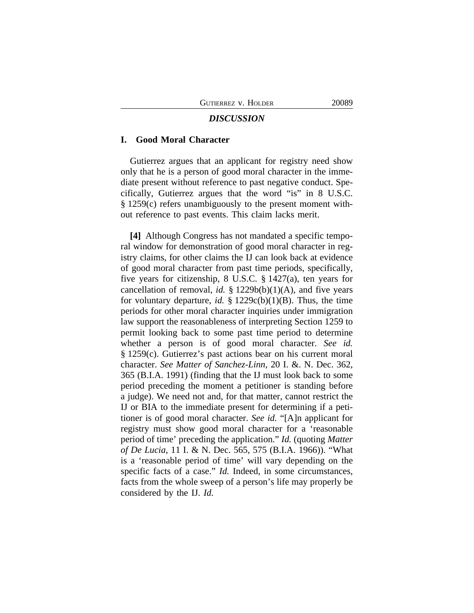#### *DISCUSSION*

## **I. Good Moral Character**

Gutierrez argues that an applicant for registry need show only that he is a person of good moral character in the immediate present without reference to past negative conduct. Specifically, Gutierrez argues that the word "is" in 8 U.S.C. § 1259(c) refers unambiguously to the present moment without reference to past events. This claim lacks merit.

**[4]** Although Congress has not mandated a specific temporal window for demonstration of good moral character in registry claims, for other claims the IJ can look back at evidence of good moral character from past time periods, specifically, five years for citizenship, 8 U.S.C. § 1427(a), ten years for cancellation of removal, *id.* § 1229b(b)(1)(A), and five years for voluntary departure, *id.*  $\S 1229c(b)(1)(B)$ . Thus, the time periods for other moral character inquiries under immigration law support the reasonableness of interpreting Section 1259 to permit looking back to some past time period to determine whether a person is of good moral character. *See id.* § 1259(c). Gutierrez's past actions bear on his current moral character. *See Matter of Sanchez-Linn*, 20 I. &. N. Dec. 362, 365 (B.I.A. 1991) (finding that the IJ must look back to some period preceding the moment a petitioner is standing before a judge). We need not and, for that matter, cannot restrict the IJ or BIA to the immediate present for determining if a petitioner is of good moral character. *See id.* "[A]n applicant for registry must show good moral character for a 'reasonable period of time' preceding the application." *Id.* (quoting *Matter of De Lucia*, 11 I. & N. Dec. 565, 575 (B.I.A. 1966)). "What is a 'reasonable period of time' will vary depending on the specific facts of a case." *Id.* Indeed, in some circumstances, facts from the whole sweep of a person's life may properly be considered by the IJ. *Id.*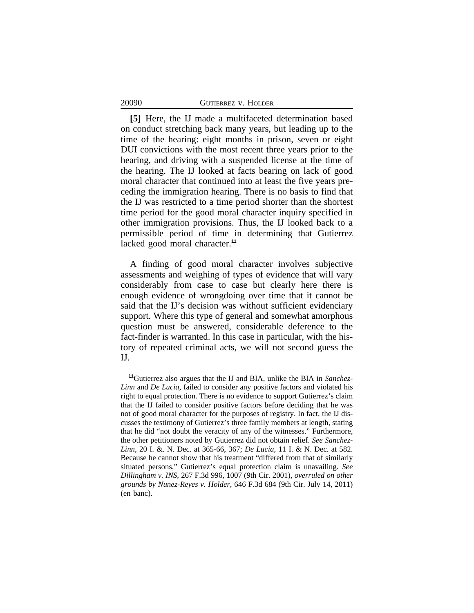#### 20090 GUTIERREZ v. HOLDER

**[5]** Here, the IJ made a multifaceted determination based on conduct stretching back many years, but leading up to the time of the hearing: eight months in prison, seven or eight DUI convictions with the most recent three years prior to the hearing, and driving with a suspended license at the time of the hearing. The IJ looked at facts bearing on lack of good moral character that continued into at least the five years preceding the immigration hearing. There is no basis to find that the IJ was restricted to a time period shorter than the shortest time period for the good moral character inquiry specified in other immigration provisions. Thus, the IJ looked back to a permissible period of time in determining that Gutierrez lacked good moral character.**<sup>11</sup>**

A finding of good moral character involves subjective assessments and weighing of types of evidence that will vary considerably from case to case but clearly here there is enough evidence of wrongdoing over time that it cannot be said that the IJ's decision was without sufficient evidenciary support. Where this type of general and somewhat amorphous question must be answered, considerable deference to the fact-finder is warranted. In this case in particular, with the history of repeated criminal acts, we will not second guess the IJ.

**<sup>11</sup>**Gutierrez also argues that the IJ and BIA, unlike the BIA in *Sanchez-Linn* and *De Lucia*, failed to consider any positive factors and violated his right to equal protection. There is no evidence to support Gutierrez's claim that the IJ failed to consider positive factors before deciding that he was not of good moral character for the purposes of registry. In fact, the IJ discusses the testimony of Gutierrez's three family members at length, stating that he did "not doubt the veracity of any of the witnesses." Furthermore, the other petitioners noted by Gutierrez did not obtain relief. *See Sanchez-Linn*, 20 I. &. N. Dec. at 365-66, 367; *De Lucia*, 11 I. & N. Dec. at 582. Because he cannot show that his treatment "differed from that of similarly situated persons," Gutierrez's equal protection claim is unavailing. *See Dillingham v. INS*, 267 F.3d 996, 1007 (9th Cir. 2001), *overruled on other grounds by Nunez-Reyes v. Holder*, 646 F.3d 684 (9th Cir. July 14, 2011) (en banc).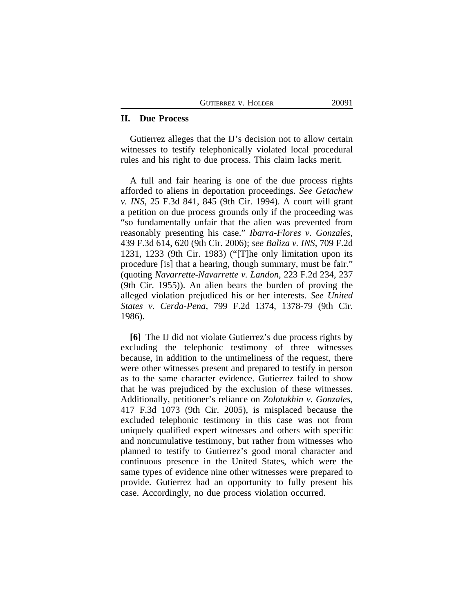#### **II. Due Process**

Gutierrez alleges that the IJ's decision not to allow certain witnesses to testify telephonically violated local procedural rules and his right to due process. This claim lacks merit.

A full and fair hearing is one of the due process rights afforded to aliens in deportation proceedings. *See Getachew v. INS*, 25 F.3d 841, 845 (9th Cir. 1994). A court will grant a petition on due process grounds only if the proceeding was "so fundamentally unfair that the alien was prevented from reasonably presenting his case." *Ibarra-Flores v. Gonzales*, 439 F.3d 614, 620 (9th Cir. 2006); *see Baliza v. INS*, 709 F.2d 1231, 1233 (9th Cir. 1983) ("[T]he only limitation upon its procedure [is] that a hearing, though summary, must be fair." (quoting *Navarrette-Navarrette v. Landon*, 223 F.2d 234, 237 (9th Cir. 1955)). An alien bears the burden of proving the alleged violation prejudiced his or her interests. *See United States v. Cerda-Pena*, 799 F.2d 1374, 1378-79 (9th Cir. 1986).

**[6]** The IJ did not violate Gutierrez's due process rights by excluding the telephonic testimony of three witnesses because, in addition to the untimeliness of the request, there were other witnesses present and prepared to testify in person as to the same character evidence. Gutierrez failed to show that he was prejudiced by the exclusion of these witnesses. Additionally, petitioner's reliance on *Zolotukhin v. Gonzales*, 417 F.3d 1073 (9th Cir. 2005), is misplaced because the excluded telephonic testimony in this case was not from uniquely qualified expert witnesses and others with specific and noncumulative testimony, but rather from witnesses who planned to testify to Gutierrez's good moral character and continuous presence in the United States, which were the same types of evidence nine other witnesses were prepared to provide. Gutierrez had an opportunity to fully present his case. Accordingly, no due process violation occurred.